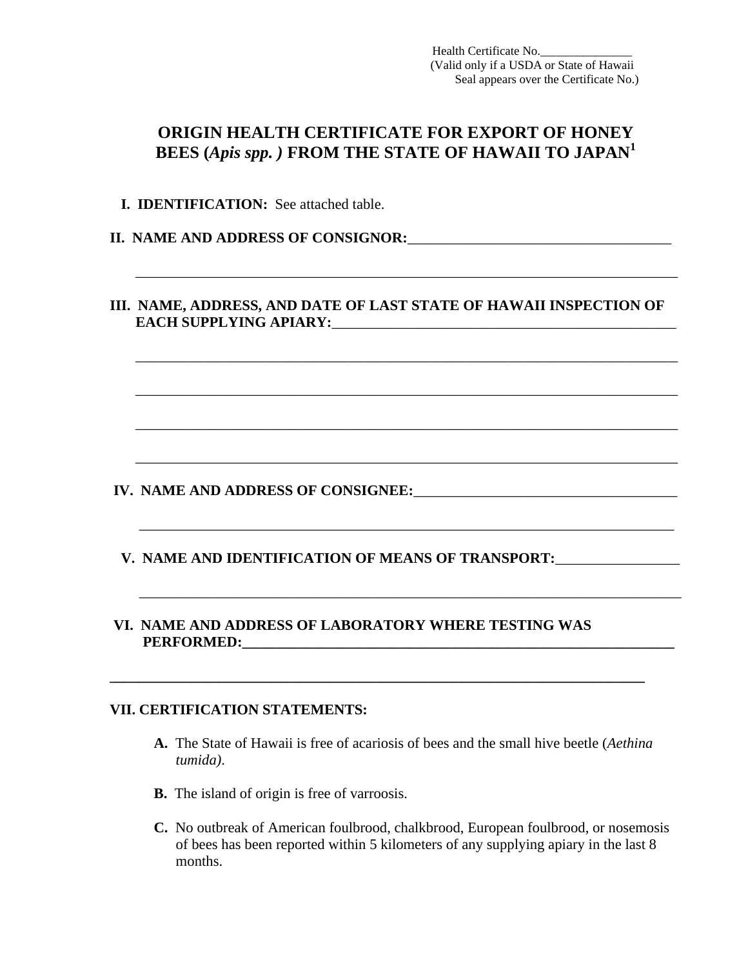Health Certificate No.\_\_\_\_\_\_\_\_\_\_\_\_\_\_\_ (Valid only if a USDA or State of Hawaii Seal appears over the Certificate No.)

## **ORIGIN HEALTH CERTIFICATE FOR EXPORT OF HONEY BEES (***Apis spp. )* **FROM THE STATE OF HAWAII TO JAPAN<sup>1</sup>**

 **I. IDENTIFICATION:** See attached table.

**II. NAME AND ADDRESS OF CONSIGNOR:**\_\_\_\_\_\_\_\_\_\_\_\_\_\_\_\_\_\_\_\_\_\_\_\_\_\_\_\_\_\_\_\_\_\_\_\_

## **III. NAME, ADDRESS, AND DATE OF LAST STATE OF HAWAII INSPECTION OF EACH SUPPLYING APIARY:**

\_\_\_\_\_\_\_\_\_\_\_\_\_\_\_\_\_\_\_\_\_\_\_\_\_\_\_\_\_\_\_\_\_\_\_\_\_\_\_\_\_\_\_\_\_\_\_\_\_\_\_\_\_\_\_\_\_\_\_\_\_\_\_\_\_\_\_\_\_\_\_\_\_\_

\_\_\_\_\_\_\_\_\_\_\_\_\_\_\_\_\_\_\_\_\_\_\_\_\_\_\_\_\_\_\_\_\_\_\_\_\_\_\_\_\_\_\_\_\_\_\_\_\_\_\_\_\_\_\_\_\_\_\_\_\_\_\_\_\_\_\_\_\_\_\_\_\_\_

 $\overline{\phantom{a}}$  , and the contribution of the contribution of the contribution of the contribution of the contribution of the contribution of the contribution of the contribution of the contribution of the contribution of the

 $\overline{\phantom{a}}$  ,  $\overline{\phantom{a}}$  ,  $\overline{\phantom{a}}$  ,  $\overline{\phantom{a}}$  ,  $\overline{\phantom{a}}$  ,  $\overline{\phantom{a}}$  ,  $\overline{\phantom{a}}$  ,  $\overline{\phantom{a}}$  ,  $\overline{\phantom{a}}$  ,  $\overline{\phantom{a}}$  ,  $\overline{\phantom{a}}$  ,  $\overline{\phantom{a}}$  ,  $\overline{\phantom{a}}$  ,  $\overline{\phantom{a}}$  ,  $\overline{\phantom{a}}$  ,  $\overline{\phantom{a}}$ 

 $\overline{\phantom{a}}$  ,  $\overline{\phantom{a}}$  ,  $\overline{\phantom{a}}$  ,  $\overline{\phantom{a}}$  ,  $\overline{\phantom{a}}$  ,  $\overline{\phantom{a}}$  ,  $\overline{\phantom{a}}$  ,  $\overline{\phantom{a}}$  ,  $\overline{\phantom{a}}$  ,  $\overline{\phantom{a}}$  ,  $\overline{\phantom{a}}$  ,  $\overline{\phantom{a}}$  ,  $\overline{\phantom{a}}$  ,  $\overline{\phantom{a}}$  ,  $\overline{\phantom{a}}$  ,  $\overline{\phantom{a}}$ 

 $\overline{\phantom{a}}$  , and the contribution of the contribution of the contribution of the contribution of the contribution of the contribution of the contribution of the contribution of the contribution of the contribution of the

 $\overline{\phantom{a}}$  , and the contribution of the contribution of the contribution of the contribution of the contribution of the contribution of the contribution of the contribution of the contribution of the contribution of the

**IV. NAME AND ADDRESS OF CONSIGNEE:** 

- **V. NAME AND IDENTIFICATION OF MEANS OF TRANSPORT:**\_\_\_\_\_\_\_\_\_\_\_\_\_\_\_\_\_
- **VI. NAME AND ADDRESS OF LABORATORY WHERE TESTING WAS PERFORMED:\_\_\_\_\_\_\_\_\_\_\_\_\_\_\_\_\_\_\_\_\_\_\_\_\_\_\_\_\_\_\_\_\_\_\_\_\_\_\_\_\_\_\_\_\_\_\_\_\_\_\_\_\_\_\_\_\_\_\_**

**\_\_\_\_\_\_\_\_\_\_\_\_\_\_\_\_\_\_\_\_\_\_\_\_\_\_\_\_\_\_\_\_\_\_\_\_\_\_\_\_\_\_\_\_\_\_\_\_\_\_\_\_\_\_\_\_\_\_\_\_\_\_\_\_\_\_\_\_\_\_\_\_\_** 

## **VII. CERTIFICATION STATEMENTS:**

- **A.** The State of Hawaii is free of acariosis of bees and the small hive beetle (*Aethina tumida)*.
- **B.** The island of origin is free of varroosis.
- **C.** No outbreak of American foulbrood, chalkbrood, European foulbrood, or nosemosis of bees has been reported within 5 kilometers of any supplying apiary in the last 8 months.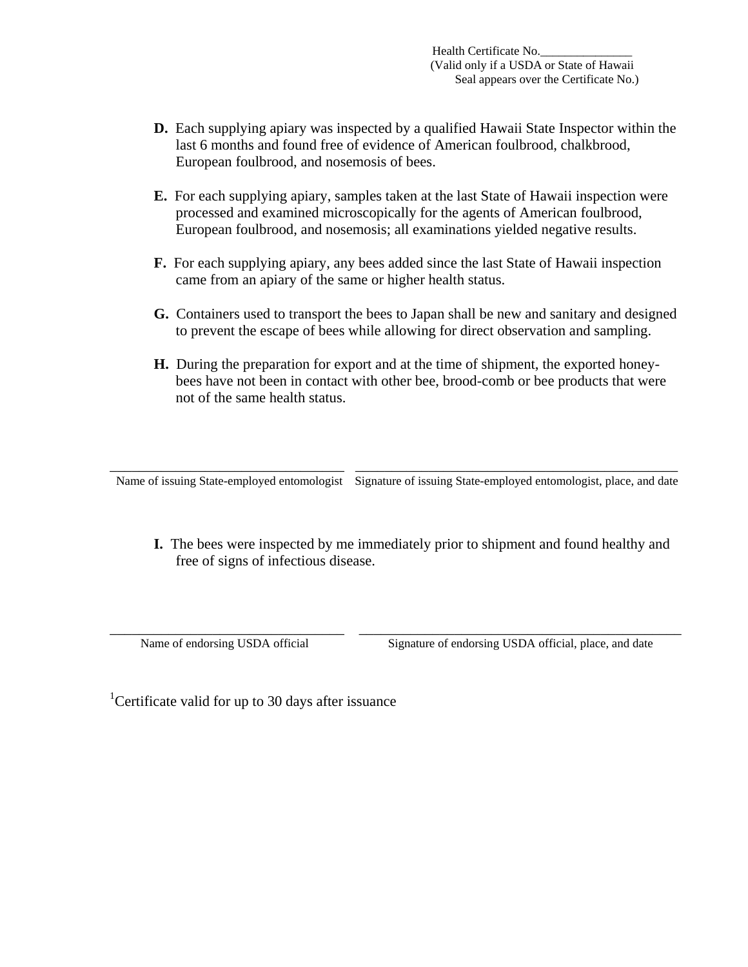- **D.** Each supplying apiary was inspected by a qualified Hawaii State Inspector within the last 6 months and found free of evidence of American foulbrood, chalkbrood, European foulbrood, and nosemosis of bees.
- **E.** For each supplying apiary, samples taken at the last State of Hawaii inspection were processed and examined microscopically for the agents of American foulbrood, European foulbrood, and nosemosis; all examinations yielded negative results.
- **F.** For each supplying apiary, any bees added since the last State of Hawaii inspection came from an apiary of the same or higher health status.
- **G.** Containers used to transport the bees to Japan shall be new and sanitary and designed to prevent the escape of bees while allowing for direct observation and sampling.
- **H.** During the preparation for export and at the time of shipment, the exported honeybees have not been in contact with other bee, brood-comb or bee products that were not of the same health status.

\_\_\_\_\_\_\_\_\_\_\_\_\_\_\_\_\_\_\_\_\_\_\_\_\_\_\_\_\_\_\_\_ \_\_\_\_\_\_\_\_\_\_\_\_\_\_\_\_\_\_\_\_\_\_\_\_\_\_\_\_\_\_\_\_\_\_\_\_\_\_\_\_\_\_\_\_ Name of issuing State-employed entomologist Signature of issuing State-employed entomologist, place, and date

 **I.** The bees were inspected by me immediately prior to shipment and found healthy and free of signs of infectious disease.

\_\_\_\_\_\_\_\_\_\_\_\_\_\_\_\_\_\_\_\_\_\_\_\_\_\_\_\_\_\_\_\_ \_\_\_\_\_\_\_\_\_\_\_\_\_\_\_\_\_\_\_\_\_\_\_\_\_\_\_\_\_\_\_\_\_\_\_\_\_\_\_\_\_\_\_\_ Name of endorsing USDA official Signature of endorsing USDA official, place, and date

<sup>1</sup>Certificate valid for up to 30 days after issuance